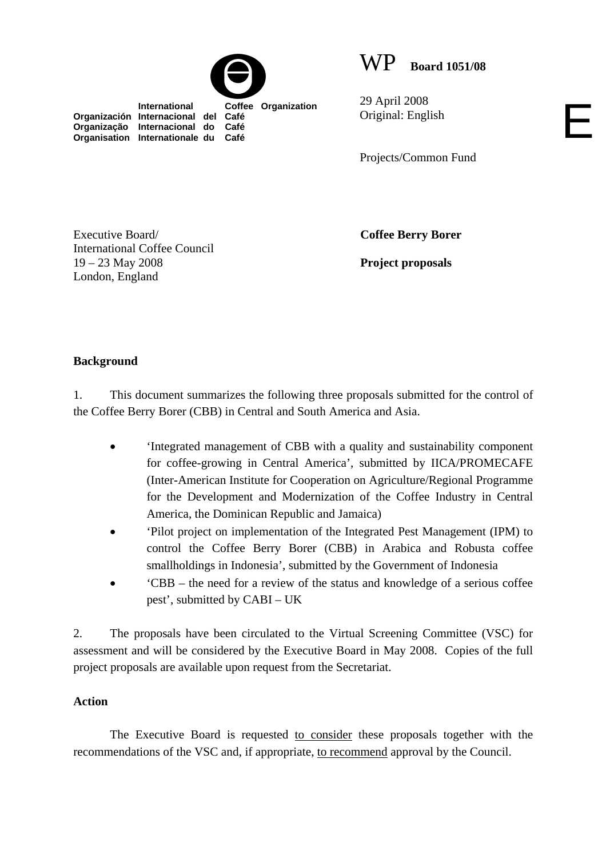**International Coffee Organization** 



29 April 2008 Original: English

Projects/Common Fund

E

Executive Board/ International Coffee Council 19 – 23 May 2008 London, England

**Organización Internacional del Café Organização Internacional do Café Organisation Internationale du Café**

**Coffee Berry Borer** 

**Project proposals** 

## **Background**

1. This document summarizes the following three proposals submitted for the control of the Coffee Berry Borer (CBB) in Central and South America and Asia.

- 'Integrated management of CBB with a quality and sustainability component for coffee-growing in Central America', submitted by IICA/PROMECAFE (Inter-American Institute for Cooperation on Agriculture/Regional Programme for the Development and Modernization of the Coffee Industry in Central America, the Dominican Republic and Jamaica)
- 'Pilot project on implementation of the Integrated Pest Management (IPM) to control the Coffee Berry Borer (CBB) in Arabica and Robusta coffee smallholdings in Indonesia', submitted by the Government of Indonesia
- 'CBB the need for a review of the status and knowledge of a serious coffee pest', submitted by CABI – UK

2. The proposals have been circulated to the Virtual Screening Committee (VSC) for assessment and will be considered by the Executive Board in May 2008. Copies of the full project proposals are available upon request from the Secretariat.

## **Action**

The Executive Board is requested to consider these proposals together with the recommendations of the VSC and, if appropriate, to recommend approval by the Council.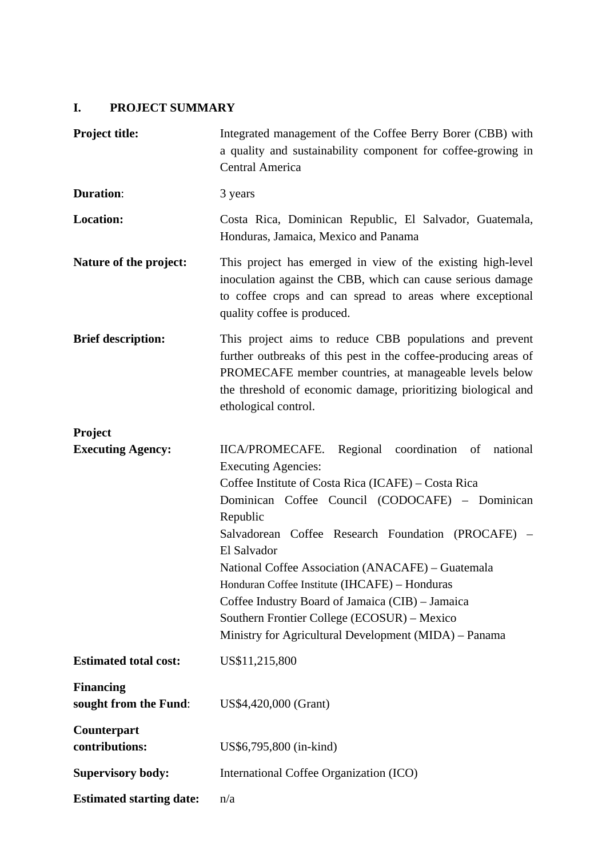# **I. PROJECT SUMMARY**

| <b>Project title:</b>                     | Integrated management of the Coffee Berry Borer (CBB) with<br>a quality and sustainability component for coffee-growing in<br>Central America                                                                                                                                                                                                                                                                                                                                                                                                 |
|-------------------------------------------|-----------------------------------------------------------------------------------------------------------------------------------------------------------------------------------------------------------------------------------------------------------------------------------------------------------------------------------------------------------------------------------------------------------------------------------------------------------------------------------------------------------------------------------------------|
| <b>Duration:</b>                          | 3 years                                                                                                                                                                                                                                                                                                                                                                                                                                                                                                                                       |
| Location:                                 | Costa Rica, Dominican Republic, El Salvador, Guatemala,<br>Honduras, Jamaica, Mexico and Panama                                                                                                                                                                                                                                                                                                                                                                                                                                               |
| Nature of the project:                    | This project has emerged in view of the existing high-level<br>inoculation against the CBB, which can cause serious damage<br>to coffee crops and can spread to areas where exceptional<br>quality coffee is produced.                                                                                                                                                                                                                                                                                                                        |
| <b>Brief description:</b>                 | This project aims to reduce CBB populations and prevent<br>further outbreaks of this pest in the coffee-producing areas of<br>PROMECAFE member countries, at manageable levels below<br>the threshold of economic damage, prioritizing biological and<br>ethological control.                                                                                                                                                                                                                                                                 |
| Project                                   |                                                                                                                                                                                                                                                                                                                                                                                                                                                                                                                                               |
| <b>Executing Agency:</b>                  | Regional coordination of national<br>IICA/PROMECAFE.<br><b>Executing Agencies:</b><br>Coffee Institute of Costa Rica (ICAFE) – Costa Rica<br>Dominican Coffee Council (CODOCAFE) - Dominican<br>Republic<br>Salvadorean Coffee Research Foundation (PROCAFE)<br>El Salvador<br>National Coffee Association (ANACAFE) – Guatemala<br>Honduran Coffee Institute (IHCAFE) - Honduras<br>Coffee Industry Board of Jamaica (CIB) - Jamaica<br>Southern Frontier College (ECOSUR) – Mexico<br>Ministry for Agricultural Development (MIDA) - Panama |
| <b>Estimated total cost:</b>              | US\$11,215,800                                                                                                                                                                                                                                                                                                                                                                                                                                                                                                                                |
| <b>Financing</b><br>sought from the Fund: | US\$4,420,000 (Grant)                                                                                                                                                                                                                                                                                                                                                                                                                                                                                                                         |
| Counterpart<br>contributions:             | US\$6,795,800 (in-kind)                                                                                                                                                                                                                                                                                                                                                                                                                                                                                                                       |
| <b>Supervisory body:</b>                  | International Coffee Organization (ICO)                                                                                                                                                                                                                                                                                                                                                                                                                                                                                                       |
| <b>Estimated starting date:</b>           | n/a                                                                                                                                                                                                                                                                                                                                                                                                                                                                                                                                           |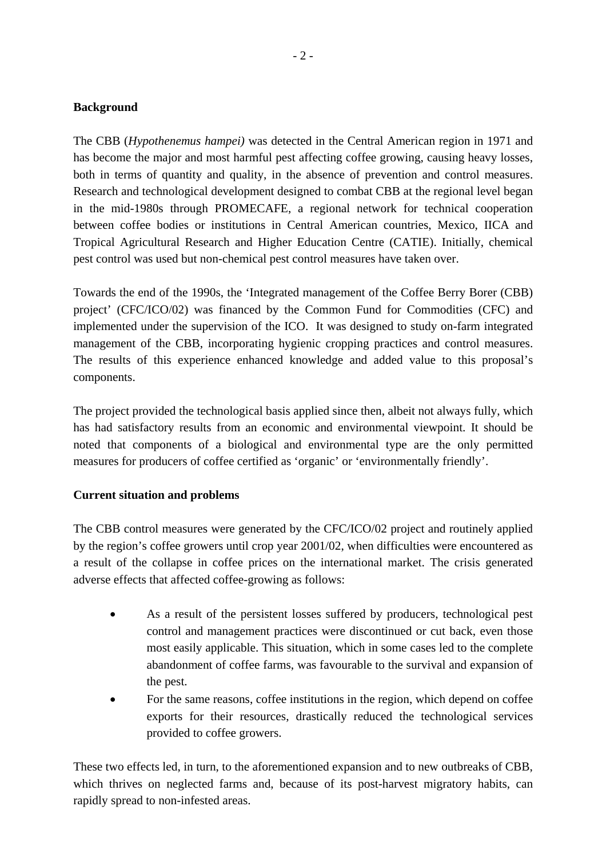### **Background**

The CBB (*Hypothenemus hampei)* was detected in the Central American region in 1971 and has become the major and most harmful pest affecting coffee growing, causing heavy losses, both in terms of quantity and quality, in the absence of prevention and control measures. Research and technological development designed to combat CBB at the regional level began in the mid-1980s through PROMECAFE, a regional network for technical cooperation between coffee bodies or institutions in Central American countries, Mexico, IICA and Tropical Agricultural Research and Higher Education Centre (CATIE). Initially, chemical pest control was used but non-chemical pest control measures have taken over.

Towards the end of the 1990s, the 'Integrated management of the Coffee Berry Borer (CBB) project' (CFC/ICO/02) was financed by the Common Fund for Commodities (CFC) and implemented under the supervision of the ICO. It was designed to study on-farm integrated management of the CBB, incorporating hygienic cropping practices and control measures. The results of this experience enhanced knowledge and added value to this proposal's components.

The project provided the technological basis applied since then, albeit not always fully, which has had satisfactory results from an economic and environmental viewpoint. It should be noted that components of a biological and environmental type are the only permitted measures for producers of coffee certified as 'organic' or 'environmentally friendly'.

### **Current situation and problems**

The CBB control measures were generated by the CFC/ICO/02 project and routinely applied by the region's coffee growers until crop year 2001/02, when difficulties were encountered as a result of the collapse in coffee prices on the international market. The crisis generated adverse effects that affected coffee-growing as follows:

- As a result of the persistent losses suffered by producers, technological pest control and management practices were discontinued or cut back, even those most easily applicable. This situation, which in some cases led to the complete abandonment of coffee farms, was favourable to the survival and expansion of the pest.
- For the same reasons, coffee institutions in the region, which depend on coffee exports for their resources, drastically reduced the technological services provided to coffee growers.

These two effects led, in turn, to the aforementioned expansion and to new outbreaks of CBB, which thrives on neglected farms and, because of its post-harvest migratory habits, can rapidly spread to non-infested areas.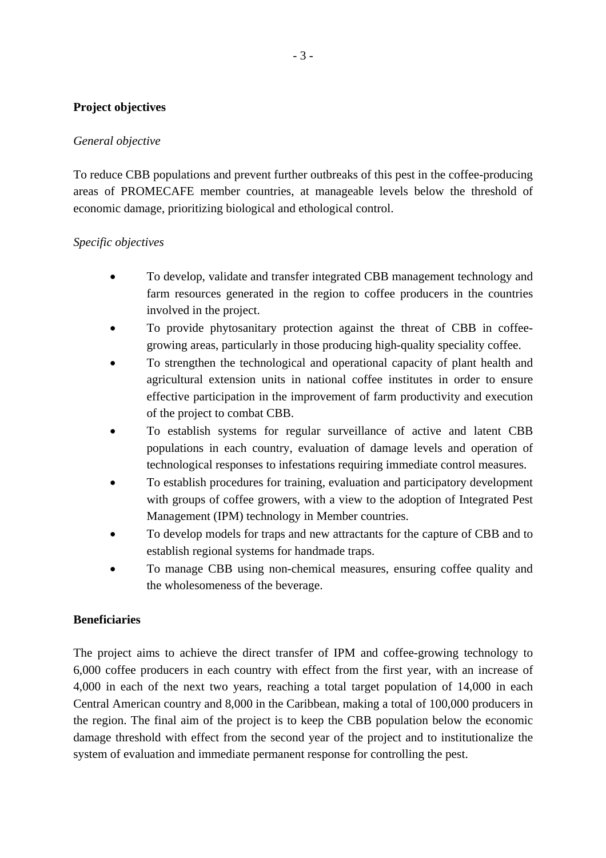### **Project objectives**

### *General objective*

To reduce CBB populations and prevent further outbreaks of this pest in the coffee-producing areas of PROMECAFE member countries, at manageable levels below the threshold of economic damage, prioritizing biological and ethological control.

### *Specific objectives*

- To develop, validate and transfer integrated CBB management technology and farm resources generated in the region to coffee producers in the countries involved in the project.
- To provide phytosanitary protection against the threat of CBB in coffeegrowing areas, particularly in those producing high-quality speciality coffee.
- To strengthen the technological and operational capacity of plant health and agricultural extension units in national coffee institutes in order to ensure effective participation in the improvement of farm productivity and execution of the project to combat CBB.
- To establish systems for regular surveillance of active and latent CBB populations in each country, evaluation of damage levels and operation of technological responses to infestations requiring immediate control measures.
- To establish procedures for training, evaluation and participatory development with groups of coffee growers, with a view to the adoption of Integrated Pest Management (IPM) technology in Member countries.
- To develop models for traps and new attractants for the capture of CBB and to establish regional systems for handmade traps.
- To manage CBB using non-chemical measures, ensuring coffee quality and the wholesomeness of the beverage.

#### **Beneficiaries**

The project aims to achieve the direct transfer of IPM and coffee-growing technology to 6,000 coffee producers in each country with effect from the first year, with an increase of 4,000 in each of the next two years, reaching a total target population of 14,000 in each Central American country and 8,000 in the Caribbean, making a total of 100,000 producers in the region. The final aim of the project is to keep the CBB population below the economic damage threshold with effect from the second year of the project and to institutionalize the system of evaluation and immediate permanent response for controlling the pest.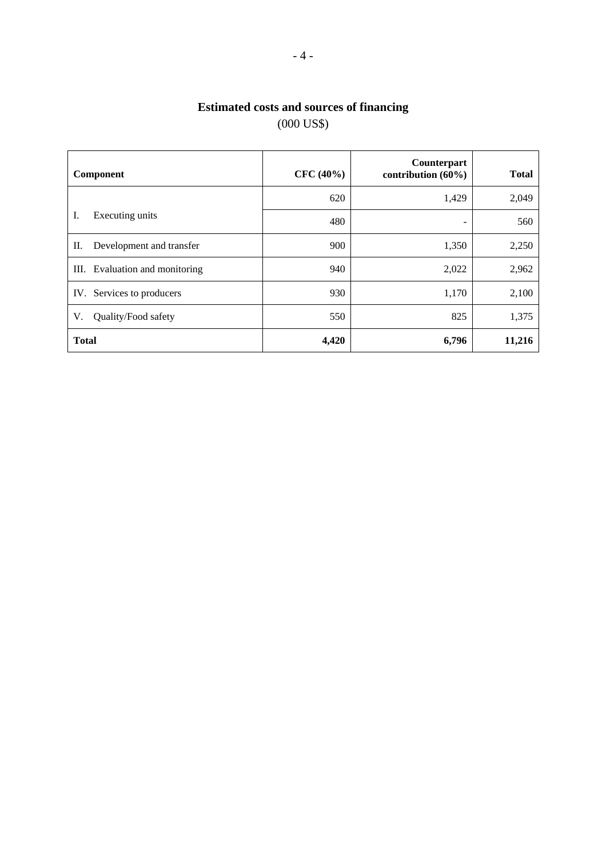# **Estimated costs and sources of financing**  (000 US\$)

| Component                       | $CFC (40\%)$ | Counterpart<br>contribution $(60\%)$ | <b>Total</b> |
|---------------------------------|--------------|--------------------------------------|--------------|
|                                 | 620          | 1,429                                | 2,049        |
| I.<br>Executing units           | 480          | -                                    | 560          |
| П.<br>Development and transfer  | 900          | 1,350                                | 2,250        |
| Evaluation and monitoring<br>Ш. | 940          | 2,022                                | 2,962        |
| IV. Services to producers       | 930          | 1,170                                | 2,100        |
| Quality/Food safety<br>V.       | 550          | 825                                  | 1,375        |
| <b>Total</b>                    | 4,420        | 6,796                                | 11,216       |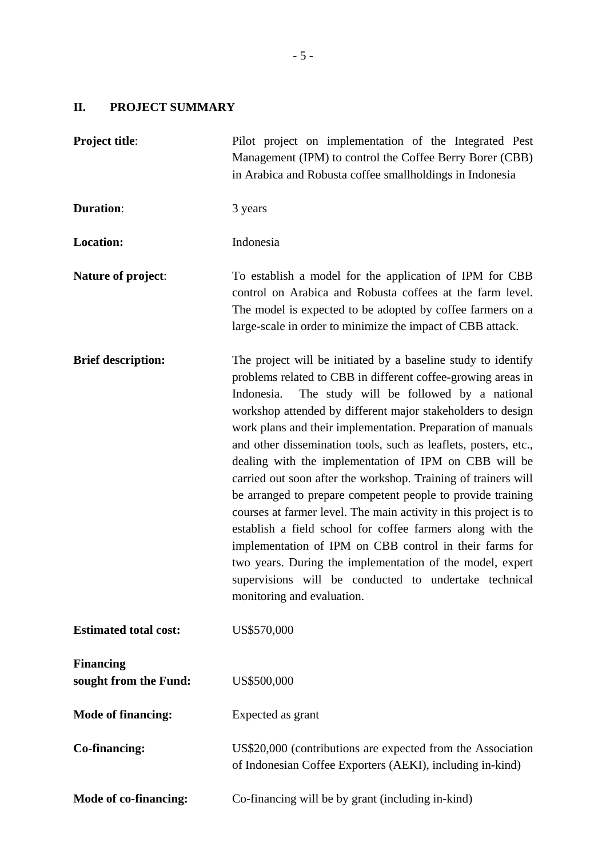# **II. PROJECT SUMMARY**

| <b>Project title:</b>                     | Pilot project on implementation of the Integrated Pest<br>Management (IPM) to control the Coffee Berry Borer (CBB)<br>in Arabica and Robusta coffee smallholdings in Indonesia                                                                                                                                                                                                                                                                                                                                                                                                                                                                                                                                                                                                                                                                                                                                                      |
|-------------------------------------------|-------------------------------------------------------------------------------------------------------------------------------------------------------------------------------------------------------------------------------------------------------------------------------------------------------------------------------------------------------------------------------------------------------------------------------------------------------------------------------------------------------------------------------------------------------------------------------------------------------------------------------------------------------------------------------------------------------------------------------------------------------------------------------------------------------------------------------------------------------------------------------------------------------------------------------------|
| <b>Duration:</b>                          | 3 years                                                                                                                                                                                                                                                                                                                                                                                                                                                                                                                                                                                                                                                                                                                                                                                                                                                                                                                             |
| <b>Location:</b>                          | Indonesia                                                                                                                                                                                                                                                                                                                                                                                                                                                                                                                                                                                                                                                                                                                                                                                                                                                                                                                           |
| <b>Nature of project:</b>                 | To establish a model for the application of IPM for CBB<br>control on Arabica and Robusta coffees at the farm level.<br>The model is expected to be adopted by coffee farmers on a<br>large-scale in order to minimize the impact of CBB attack.                                                                                                                                                                                                                                                                                                                                                                                                                                                                                                                                                                                                                                                                                    |
| <b>Brief description:</b>                 | The project will be initiated by a baseline study to identify<br>problems related to CBB in different coffee-growing areas in<br>The study will be followed by a national<br>Indonesia.<br>workshop attended by different major stakeholders to design<br>work plans and their implementation. Preparation of manuals<br>and other dissemination tools, such as leaflets, posters, etc.,<br>dealing with the implementation of IPM on CBB will be<br>carried out soon after the workshop. Training of trainers will<br>be arranged to prepare competent people to provide training<br>courses at farmer level. The main activity in this project is to<br>establish a field school for coffee farmers along with the<br>implementation of IPM on CBB control in their farms for<br>two years. During the implementation of the model, expert<br>supervisions will be conducted to undertake technical<br>monitoring and evaluation. |
| <b>Estimated total cost:</b>              | US\$570,000                                                                                                                                                                                                                                                                                                                                                                                                                                                                                                                                                                                                                                                                                                                                                                                                                                                                                                                         |
| <b>Financing</b><br>sought from the Fund: | US\$500,000                                                                                                                                                                                                                                                                                                                                                                                                                                                                                                                                                                                                                                                                                                                                                                                                                                                                                                                         |
| <b>Mode of financing:</b>                 | Expected as grant                                                                                                                                                                                                                                                                                                                                                                                                                                                                                                                                                                                                                                                                                                                                                                                                                                                                                                                   |
| <b>Co-financing:</b>                      | US\$20,000 (contributions are expected from the Association<br>of Indonesian Coffee Exporters (AEKI), including in-kind)                                                                                                                                                                                                                                                                                                                                                                                                                                                                                                                                                                                                                                                                                                                                                                                                            |
| <b>Mode of co-financing:</b>              | Co-financing will be by grant (including in-kind)                                                                                                                                                                                                                                                                                                                                                                                                                                                                                                                                                                                                                                                                                                                                                                                                                                                                                   |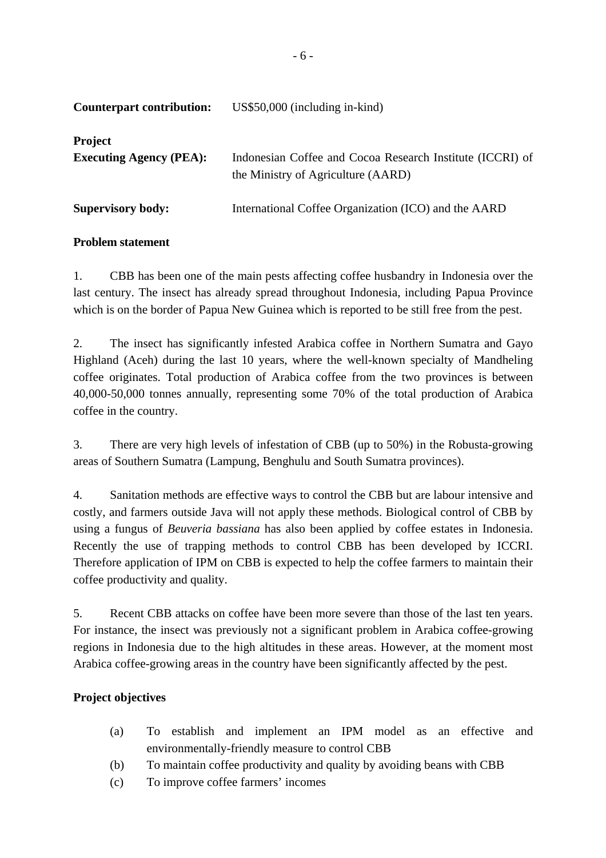| <b>Counterpart contribution:</b>                 | $US$50,000$ (including in-kind)                                                                 |
|--------------------------------------------------|-------------------------------------------------------------------------------------------------|
| <b>Project</b><br><b>Executing Agency (PEA):</b> | Indonesian Coffee and Cocoa Research Institute (ICCRI) of<br>the Ministry of Agriculture (AARD) |
| <b>Supervisory body:</b>                         | International Coffee Organization (ICO) and the AARD                                            |

### **Problem statement**

1. CBB has been one of the main pests affecting coffee husbandry in Indonesia over the last century. The insect has already spread throughout Indonesia, including Papua Province which is on the border of Papua New Guinea which is reported to be still free from the pest.

2. The insect has significantly infested Arabica coffee in Northern Sumatra and Gayo Highland (Aceh) during the last 10 years, where the well-known specialty of Mandheling coffee originates. Total production of Arabica coffee from the two provinces is between 40,000-50,000 tonnes annually, representing some 70% of the total production of Arabica coffee in the country.

3. There are very high levels of infestation of CBB (up to 50%) in the Robusta-growing areas of Southern Sumatra (Lampung, Benghulu and South Sumatra provinces).

4. Sanitation methods are effective ways to control the CBB but are labour intensive and costly, and farmers outside Java will not apply these methods. Biological control of CBB by using a fungus of *Beuveria bassiana* has also been applied by coffee estates in Indonesia. Recently the use of trapping methods to control CBB has been developed by ICCRI. Therefore application of IPM on CBB is expected to help the coffee farmers to maintain their coffee productivity and quality.

5. Recent CBB attacks on coffee have been more severe than those of the last ten years. For instance, the insect was previously not a significant problem in Arabica coffee-growing regions in Indonesia due to the high altitudes in these areas. However, at the moment most Arabica coffee-growing areas in the country have been significantly affected by the pest.

## **Project objectives**

- (a) To establish and implement an IPM model as an effective and environmentally-friendly measure to control CBB
- (b) To maintain coffee productivity and quality by avoiding beans with CBB
- (c) To improve coffee farmers' incomes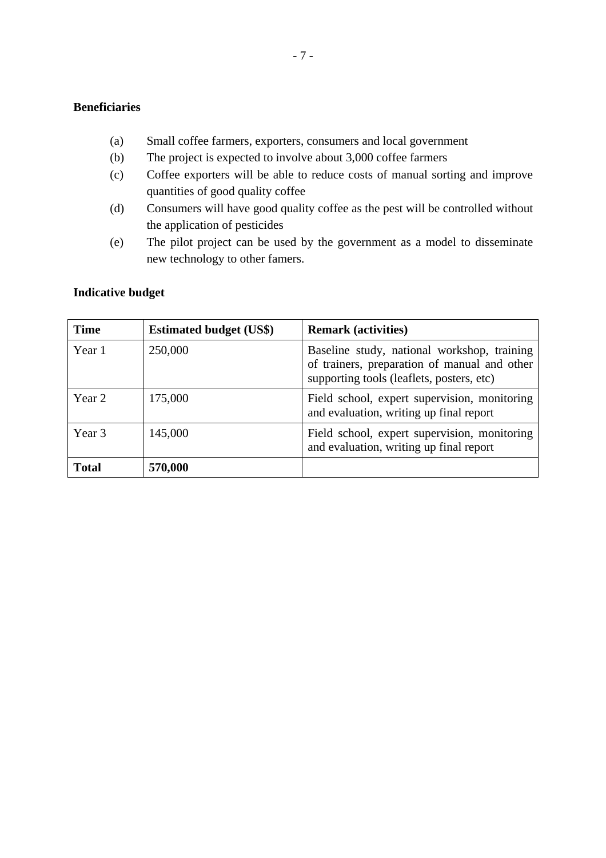### **Beneficiaries**

- (a) Small coffee farmers, exporters, consumers and local government
- (b) The project is expected to involve about 3,000 coffee farmers
- (c) Coffee exporters will be able to reduce costs of manual sorting and improve quantities of good quality coffee
- (d) Consumers will have good quality coffee as the pest will be controlled without the application of pesticides
- (e) The pilot project can be used by the government as a model to disseminate new technology to other famers.

#### **Indicative budget**

| <b>Time</b>  | <b>Estimated budget (US\$)</b> | <b>Remark (activities)</b>                                                                                                               |
|--------------|--------------------------------|------------------------------------------------------------------------------------------------------------------------------------------|
| Year 1       | 250,000                        | Baseline study, national workshop, training<br>of trainers, preparation of manual and other<br>supporting tools (leaflets, posters, etc) |
| Year 2       | 175,000                        | Field school, expert supervision, monitoring<br>and evaluation, writing up final report                                                  |
| Year 3       | 145,000                        | Field school, expert supervision, monitoring<br>and evaluation, writing up final report                                                  |
| <b>Total</b> | 570,000                        |                                                                                                                                          |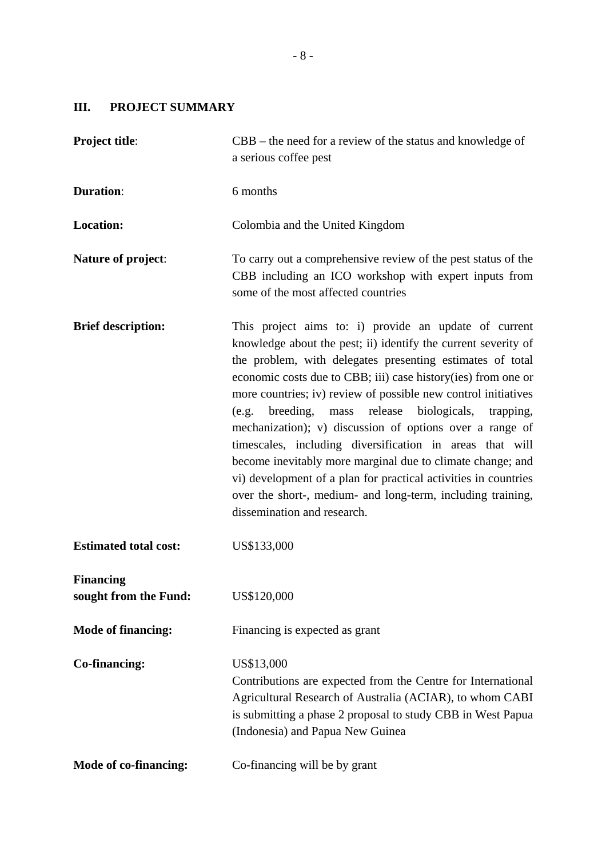# **III. PROJECT SUMMARY**

| <b>Project title:</b>                     | $CBB$ – the need for a review of the status and knowledge of<br>a serious coffee pest                                                                                                                                                                                                                                                                                                                                                                                                                                                                                                                                                                                                                                                                 |
|-------------------------------------------|-------------------------------------------------------------------------------------------------------------------------------------------------------------------------------------------------------------------------------------------------------------------------------------------------------------------------------------------------------------------------------------------------------------------------------------------------------------------------------------------------------------------------------------------------------------------------------------------------------------------------------------------------------------------------------------------------------------------------------------------------------|
| <b>Duration:</b>                          | 6 months                                                                                                                                                                                                                                                                                                                                                                                                                                                                                                                                                                                                                                                                                                                                              |
| <b>Location:</b>                          | Colombia and the United Kingdom                                                                                                                                                                                                                                                                                                                                                                                                                                                                                                                                                                                                                                                                                                                       |
| Nature of project:                        | To carry out a comprehensive review of the pest status of the<br>CBB including an ICO workshop with expert inputs from<br>some of the most affected countries                                                                                                                                                                                                                                                                                                                                                                                                                                                                                                                                                                                         |
| <b>Brief description:</b>                 | This project aims to: i) provide an update of current<br>knowledge about the pest; ii) identify the current severity of<br>the problem, with delegates presenting estimates of total<br>economic costs due to CBB; iii) case history (ies) from one or<br>more countries; iv) review of possible new control initiatives<br>biologicals,<br>breeding,<br>release<br>(e.g.<br>mass<br>trapping,<br>mechanization); v) discussion of options over a range of<br>timescales, including diversification in areas that will<br>become inevitably more marginal due to climate change; and<br>vi) development of a plan for practical activities in countries<br>over the short-, medium- and long-term, including training,<br>dissemination and research. |
| <b>Estimated total cost:</b>              | US\$133,000                                                                                                                                                                                                                                                                                                                                                                                                                                                                                                                                                                                                                                                                                                                                           |
| <b>Financing</b><br>sought from the Fund: | US\$120,000                                                                                                                                                                                                                                                                                                                                                                                                                                                                                                                                                                                                                                                                                                                                           |
| <b>Mode of financing:</b>                 | Financing is expected as grant                                                                                                                                                                                                                                                                                                                                                                                                                                                                                                                                                                                                                                                                                                                        |
| Co-financing:                             | US\$13,000<br>Contributions are expected from the Centre for International<br>Agricultural Research of Australia (ACIAR), to whom CABI<br>is submitting a phase 2 proposal to study CBB in West Papua<br>(Indonesia) and Papua New Guinea                                                                                                                                                                                                                                                                                                                                                                                                                                                                                                             |
| <b>Mode of co-financing:</b>              | Co-financing will be by grant                                                                                                                                                                                                                                                                                                                                                                                                                                                                                                                                                                                                                                                                                                                         |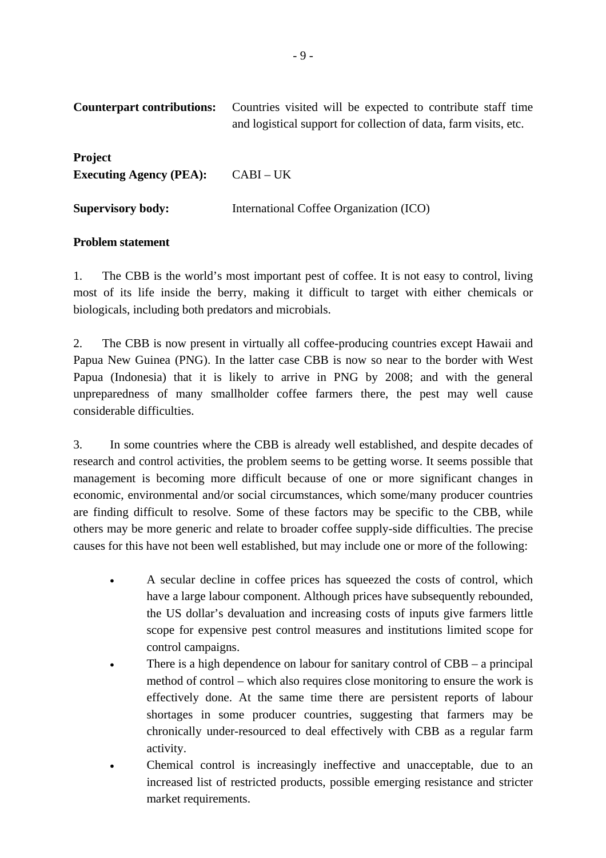| Counterpart contributions:                       | Countries visited will be expected to contribute staff time<br>and logistical support for collection of data, farm visits, etc. |
|--------------------------------------------------|---------------------------------------------------------------------------------------------------------------------------------|
| <b>Project</b><br><b>Executing Agency (PEA):</b> | $CABI-UK$                                                                                                                       |
| <b>Supervisory body:</b>                         | International Coffee Organization (ICO)                                                                                         |

#### **Problem statement**

1. The CBB is the world's most important pest of coffee. It is not easy to control, living most of its life inside the berry, making it difficult to target with either chemicals or biologicals, including both predators and microbials.

2. The CBB is now present in virtually all coffee-producing countries except Hawaii and Papua New Guinea (PNG). In the latter case CBB is now so near to the border with West Papua (Indonesia) that it is likely to arrive in PNG by 2008; and with the general unpreparedness of many smallholder coffee farmers there, the pest may well cause considerable difficulties.

3. In some countries where the CBB is already well established, and despite decades of research and control activities, the problem seems to be getting worse. It seems possible that management is becoming more difficult because of one or more significant changes in economic, environmental and/or social circumstances, which some/many producer countries are finding difficult to resolve. Some of these factors may be specific to the CBB, while others may be more generic and relate to broader coffee supply-side difficulties. The precise causes for this have not been well established, but may include one or more of the following:

- A secular decline in coffee prices has squeezed the costs of control, which have a large labour component. Although prices have subsequently rebounded, the US dollar's devaluation and increasing costs of inputs give farmers little scope for expensive pest control measures and institutions limited scope for control campaigns.
- There is a high dependence on labour for sanitary control of  $CBB a$  principal method of control – which also requires close monitoring to ensure the work is effectively done. At the same time there are persistent reports of labour shortages in some producer countries, suggesting that farmers may be chronically under-resourced to deal effectively with CBB as a regular farm activity.
- Chemical control is increasingly ineffective and unacceptable, due to an increased list of restricted products, possible emerging resistance and stricter market requirements.